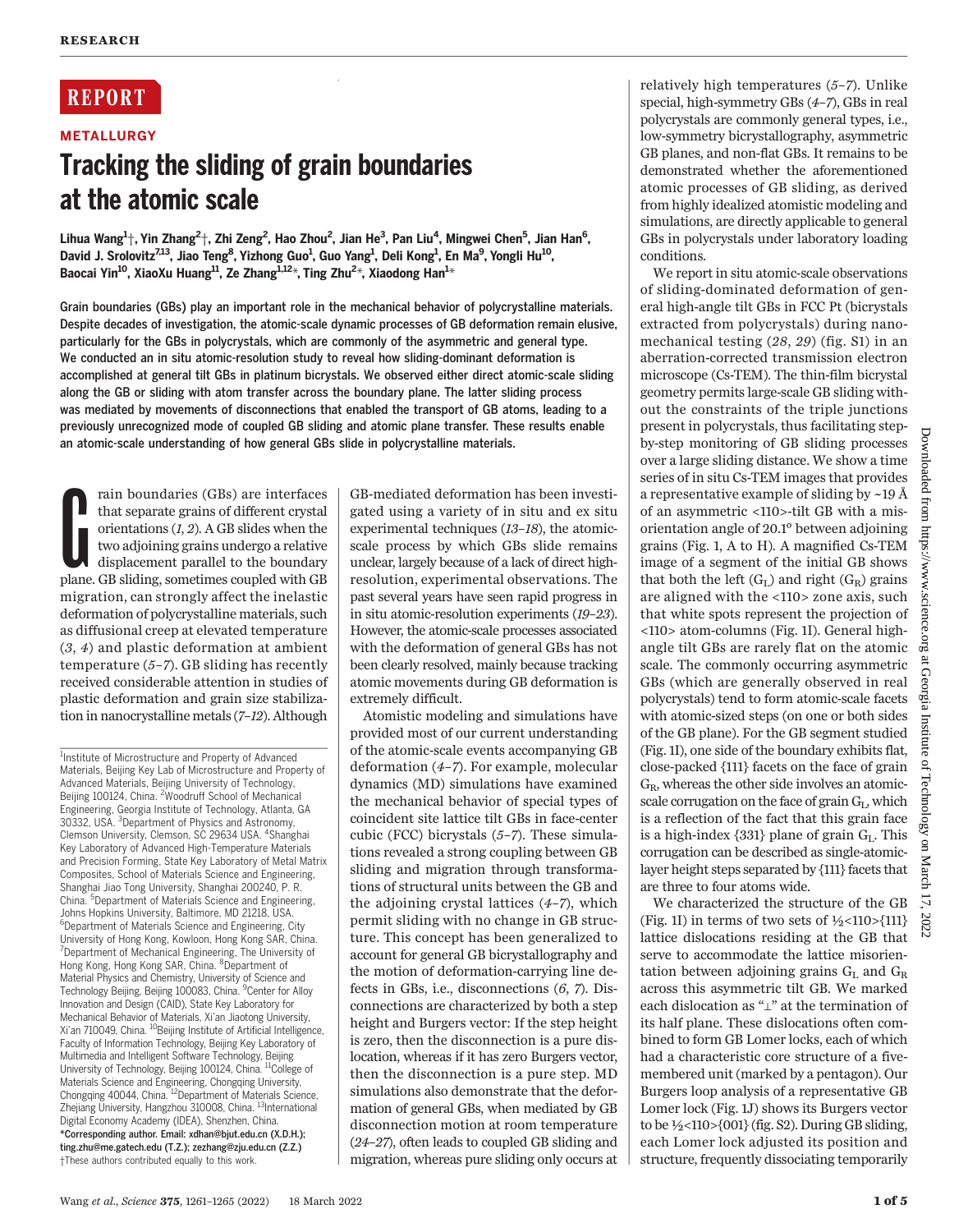## **REPORT**

**METALLURGY** 

# Tracking the sliding of grain boundaries at the atomic scale

Lihua Wang $^{1+}$ , Yin Zhang $^{2+}$ , Zhi Zeng $^{2}$ , Hao Zhou $^{2}$ , Jian He $^{3}$ , Pan Liu $^{4}$ , Mingwei Chen $^{5}$ , Jian Han $^{6}$ , David J. Srolovitz<sup>7,13</sup>, Jiao Teng<sup>8</sup>, Yizhong Guo<sup>1</sup>, Guo Yang<sup>1</sup>, Deli Kong<sup>1</sup>, En Ma<sup>9</sup>, Yongli Hu<sup>10</sup>, Baocai Yin<sup>10</sup>, XiaoXu Huang<sup>11</sup>, Ze Zhang<sup>1,12</sup>\*, Ting Zhu<sup>2</sup>\*, Xiaodong Han<sup>1</sup>\*

Grain boundaries (GBs) play an important role in the mechanical behavior of polycrystalline materials. Despite decades of investigation, the atomic-scale dynamic processes of GB deformation remain elusive, particularly for the GBs in polycrystals, which are commonly of the asymmetric and general type. We conducted an in situ atomic-resolution study to reveal how sliding-dominant deformation is accomplished at general tilt GBs in platinum bicrystals. We observed either direct atomic-scale sliding along the GB or sliding with atom transfer across the boundary plane. The latter sliding process was mediated by movements of disconnections that enabled the transport of GB atoms, leading to a previously unrecognized mode of coupled GB sliding and atomic plane transfer. These results enable an atomic-scale understanding of how general GBs slide in polycrystalline materials.

rain boundaries (GBs) are interfaces<br>that separate grains of different crystal<br>orientations  $(I, 2)$ . A GB slides when the<br>two adjoining grains undergo a relative<br>displacement parallel to the boundary<br>plane. GB sliding, som rain boundaries (GBs) are interfaces that separate grains of different crystal orientations (1, 2). A GB slides when the two adjoining grains undergo a relative displacement parallel to the boundary migration, can strongly affect the inelastic deformation of polycrystalline materials, such as diffusional creep at elevated temperature (3, 4) and plastic deformation at ambient temperature  $(5-7)$ . GB sliding has recently received considerable attention in studies of plastic deformation and grain size stabilization in nanocrystalline metals (7–12). Although

GB-mediated deformation has been investigated using a variety of in situ and ex situ experimental techniques (13–18), the atomicscale process by which GBs slide remains unclear, largely because of a lack of direct highresolution, experimental observations. The past several years have seen rapid progress in in situ atomic-resolution experiments (19–23). However, the atomic-scale processes associated with the deformation of general GBs has not been clearly resolved, mainly because tracking atomic movements during GB deformation is extremely difficult.

Atomistic modeling and simulations have provided most of our current understanding of the atomic-scale events accompanying GB deformation (4–7). For example, molecular dynamics (MD) simulations have examined the mechanical behavior of special types of coincident site lattice tilt GBs in face-center cubic (FCC) bicrystals (5–7). These simulations revealed a strong coupling between GB sliding and migration through transformations of structural units between the GB and the adjoining crystal lattices (4–7), which permit sliding with no change in GB structure. This concept has been generalized to account for general GB bicrystallography and the motion of deformation-carrying line defects in GBs, i.e., disconnections (6, 7). Disconnections are characterized by both a step height and Burgers vector: If the step height is zero, then the disconnection is a pure dislocation, whereas if it has zero Burgers vector, then the disconnection is a pure step. MD simulations also demonstrate that the deformation of general GBs, when mediated by GB disconnection motion at room temperature (24–27), often leads to coupled GB sliding and migration, whereas pure sliding only occurs at

relatively high temperatures (5–7). Unlike special, high-symmetry GBs (4–7), GBs in real polycrystals are commonly general types, i.e., low-symmetry bicrystallography, asymmetric GB planes, and non-flat GBs. It remains to be demonstrated whether the aforementioned atomic processes of GB sliding, as derived from highly idealized atomistic modeling and simulations, are directly applicable to general GBs in polycrystals under laboratory loading conditions.

We report in situ atomic-scale observations of sliding-dominated deformation of general high-angle tilt GBs in FCC Pt (bicrystals extracted from polycrystals) during nanomechanical testing (28, 29) (fig. S1) in an aberration-corrected transmission electron microscope (Cs-TEM). The thin-film bicrystal geometry permits large-scale GB sliding without the constraints of the triple junctions present in polycrystals, thus facilitating stepby-step monitoring of GB sliding processes over a large sliding distance. We show a time series of in situ Cs-TEM images that provides a representative example of sliding by ~19 Å of an asymmetric <110>-tilt GB with a misorientation angle of 20.1° between adjoining grains (Fig. 1, A to H). A magnified Cs-TEM image of a segment of the initial GB shows that both the left  $(G_L)$  and right  $(G_R)$  grains are aligned with the <110> zone axis, such that white spots represent the projection of <110> atom-columns (Fig. 1I). General highangle tilt GBs are rarely flat on the atomic scale. The commonly occurring asymmetric GBs (which are generally observed in real polycrystals) tend to form atomic-scale facets with atomic-sized steps (on one or both sides of the GB plane). For the GB segment studied (Fig. 1I), one side of the boundary exhibits flat, close-packed {111} facets on the face of grain  $G_R$ , whereas the other side involves an atomicscale corrugation on the face of grain G<sub>L</sub>, which is a reflection of the fact that this grain face is a high-index  $\{331\}$  plane of grain  $G<sub>L</sub>$ . This corrugation can be described as single-atomiclayer height steps separated by {111} facets that are three to four atoms wide.

We characterized the structure of the GB (Fig. 1I) in terms of two sets of  $\frac{1}{2}$ <110>{111}} lattice dislocations residing at the GB that serve to accommodate the lattice misorientation between adjoining grains  $G_L$  and  $G_R$ across this asymmetric tilt GB. We marked each dislocation as "⊥" at the termination of its half plane. These dislocations often combined to form GB Lomer locks, each of which had a characteristic core structure of a fivemembered unit (marked by a pentagon). Our Burgers loop analysis of a representative GB Lomer lock (Fig. 1J) shows its Burgers vector to be ½<110>{001} (fig. S2). During GB sliding, each Lomer lock adjusted its position and structure, frequently dissociating temporarily

<sup>&</sup>lt;sup>1</sup>Institute of Microstructure and Property of Advanced Materials, Beijing Key Lab of Microstructure and Property of Advanced Materials, Beijing University of Technology, Beijing 100124, China. <sup>2</sup> Woodruff School of Mechanical Engineering, Georgia Institute of Technology, Atlanta, GA 30332, USA. <sup>3</sup>Department of Physics and Astronomy, Clemson University, Clemson, SC 29634 USA. <sup>4</sup>Shanghai Key Laboratory of Advanced High-Temperature Materials and Precision Forming, State Key Laboratory of Metal Matrix Composites, School of Materials Science and Engineering, Shanghai Jiao Tong University, Shanghai 200240, P. R. China. <sup>5</sup>Department of Materials Science and Engineering, Johns Hopkins University, Baltimore, MD 21218, USA. 6 Department of Materials Science and Engineering, City University of Hong Kong, Kowloon, Hong Kong SAR, China. <sup>7</sup>Department of Mechanical Engineering, The University of Hong Kong, Hong Kong SAR, China. <sup>8</sup>Department of Material Physics and Chemistry, University of Science and Technology Beijing, Beijing 100083, China. <sup>9</sup> Center for Alloy Innovation and Design (CAID), State Key Laboratory for Mechanical Behavior of Materials, Xi'an Jiaotong University, Xi'an 710049, China. <sup>10</sup>Beijing Institute of Artificial Intelligence Faculty of Information Technology, Beijing Key Laboratory of Multimedia and Intelligent Software Technology, Beijing University of Technology, Beijing 100124, China. <sup>11</sup>College of Materials Science and Engineering, Chongqing University,<br>Chongqing 40044, China. <sup>12</sup>Department of Materials Science, Zhejiang University, Hangzhou 310008, China. <sup>13</sup>International Digital Economy Academy (IDEA), Shenzhen, China. \*Corresponding author. Email: xdhan@bjut.edu.cn (X.D.H.); ting.zhu@me.gatech.edu (T.Z.); zezhang@zju.edu.cn (Z.Z.) †These authors contributed equally to this work.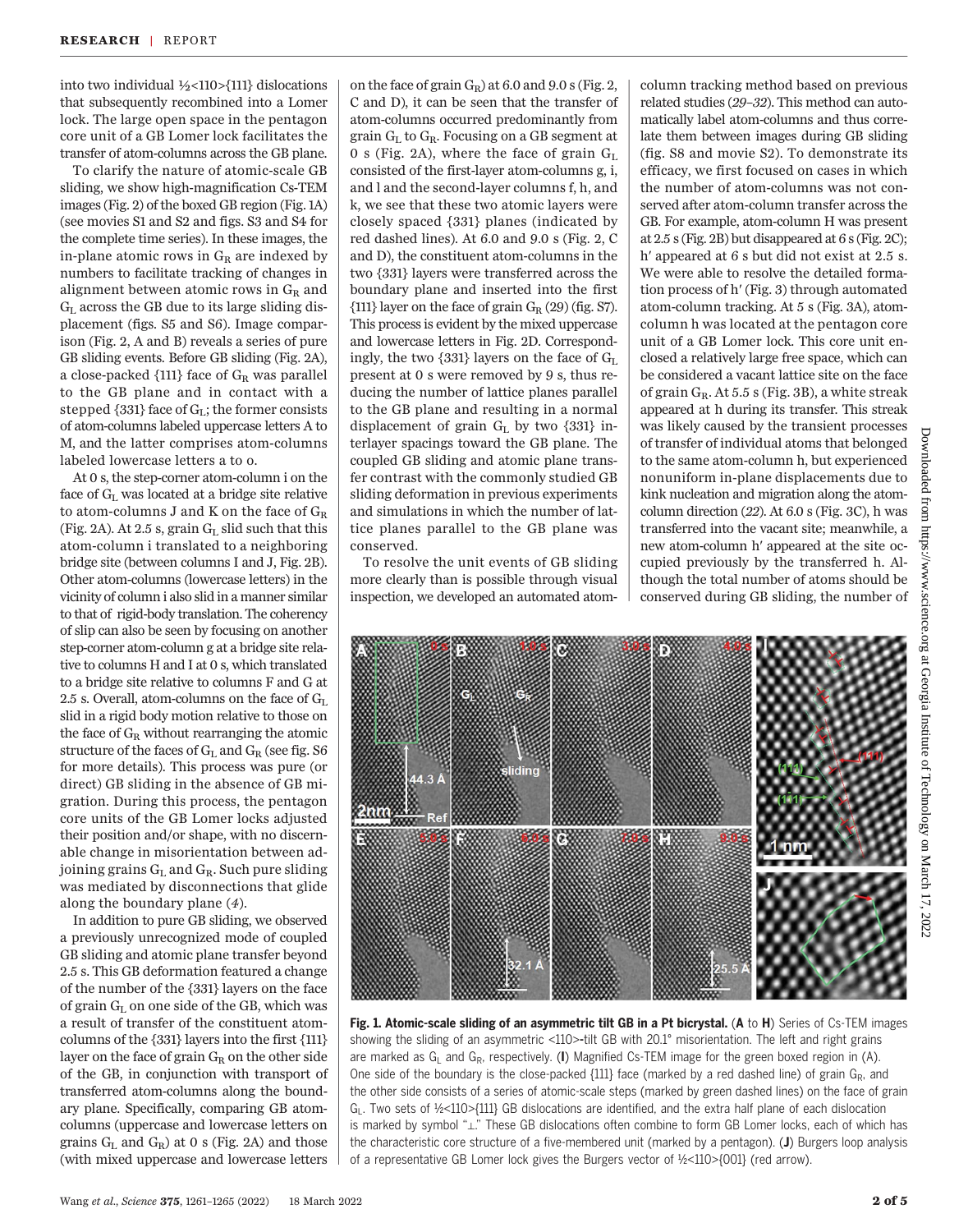into two individual ½<110>{111} dislocations that subsequently recombined into a Lomer lock. The large open space in the pentagon core unit of a GB Lomer lock facilitates the transfer of atom-columns across the GB plane.

To clarify the nature of atomic-scale GB sliding, we show high-magnification Cs-TEM images (Fig. 2) of the boxed GB region (Fig. 1A) (see movies S1 and S2 and figs. S3 and S4 for the complete time series). In these images, the in-plane atomic rows in  $G_R$  are indexed by numbers to facilitate tracking of changes in alignment between atomic rows in  $G_R$  and  $G<sub>L</sub>$  across the GB due to its large sliding displacement (figs. S5 and S6). Image comparison (Fig. 2, A and B) reveals a series of pure GB sliding events. Before GB sliding (Fig. 2A), a close-packed  $\{111\}$  face of  $G_R$  was parallel to the GB plane and in contact with a stepped  $\{331\}$  face of  $G_L$ ; the former consists of atom-columns labeled uppercase letters A to M, and the latter comprises atom-columns labeled lowercase letters a to o.

At 0 s, the step-corner atom-column i on the face of  $G_L$  was located at a bridge site relative to atom-columns J and K on the face of  $G_R$ (Fig. 2A). At 2.5 s, grain  $G_L$  slid such that this atom-column i translated to a neighboring bridge site (between columns I and J, Fig. 2B). Other atom-columns (lowercase letters) in the vicinity of column i also slid in a manner similar to that of rigid-body translation. The coherency of slip can also be seen by focusing on another step-corner atom-column g at a bridge site relative to columns H and I at 0 s, which translated to a bridge site relative to columns F and G at 2.5 s. Overall, atom-columns on the face of  $G<sub>L</sub>$ slid in a rigid body motion relative to those on the face of  $G_R$  without rearranging the atomic structure of the faces of  $G_L$  and  $G_R$  (see fig. S6 for more details). This process was pure (or direct) GB sliding in the absence of GB migration. During this process, the pentagon core units of the GB Lomer locks adjusted their position and/or shape, with no discernable change in misorientation between adjoining grains  $G_L$  and  $G_R$ . Such pure sliding was mediated by disconnections that glide along the boundary plane (4).

In addition to pure GB sliding, we observed a previously unrecognized mode of coupled GB sliding and atomic plane transfer beyond 2.5 s. This GB deformation featured a change of the number of the {331} layers on the face of grain  $G<sub>L</sub>$  on one side of the GB, which was a result of transfer of the constituent atomcolumns of the {331} layers into the first {111} layer on the face of grain  $G_R$  on the other side of the GB, in conjunction with transport of transferred atom-columns along the boundary plane. Specifically, comparing GB atomcolumns (uppercase and lowercase letters on grains  $G_L$  and  $G_R$ ) at 0 s (Fig. 2A) and those (with mixed uppercase and lowercase letters

on the face of grain  $G_R$ ) at 6.0 and 9.0 s (Fig. 2, C and D), it can be seen that the transfer of atom-columns occurred predominantly from grain  $G_L$  to  $G_R$ . Focusing on a GB segment at 0 s (Fig. 2A), where the face of grain  $G<sub>L</sub>$ consisted of the first-layer atom-columns g, i, and l and the second-layer columns f, h, and k, we see that these two atomic layers were closely spaced {331} planes (indicated by red dashed lines). At 6.0 and 9.0 s (Fig. 2, C and D), the constituent atom-columns in the two {331} layers were transferred across the boundary plane and inserted into the first  $\{111\}$  layer on the face of grain  $G_R$  (29) (fig. S7). This process is evident by the mixed uppercase and lowercase letters in Fig. 2D. Correspondingly, the two  $\{331\}$  layers on the face of  $G_L$ present at 0 s were removed by 9 s, thus reducing the number of lattice planes parallel to the GB plane and resulting in a normal displacement of grain  $G_L$  by two {331} interlayer spacings toward the GB plane. The coupled GB sliding and atomic plane transfer contrast with the commonly studied GB sliding deformation in previous experiments and simulations in which the number of lattice planes parallel to the GB plane was conserved.

To resolve the unit events of GB sliding more clearly than is possible through visual inspection, we developed an automated atom-

column tracking method based on previous related studies (29–32). This method can automatically label atom-columns and thus correlate them between images during GB sliding (fig. S8 and movie S2). To demonstrate its efficacy, we first focused on cases in which the number of atom-columns was not conserved after atom-column transfer across the GB. For example, atom-column H was present at 2.5 s (Fig. 2B) but disappeared at 6 s (Fig. 2C); h′ appeared at 6 s but did not exist at 2.5 s. We were able to resolve the detailed formation process of h′ (Fig. 3) through automated atom-column tracking. At 5 s (Fig. 3A), atomcolumn h was located at the pentagon core unit of a GB Lomer lock. This core unit enclosed a relatively large free space, which can be considered a vacant lattice site on the face of grain  $G_R$ . At 5.5 s (Fig. 3B), a white streak appeared at h during its transfer. This streak was likely caused by the transient processes of transfer of individual atoms that belonged to the same atom-column h, but experienced nonuniform in-plane displacements due to kink nucleation and migration along the atomcolumn direction (22). At 6.0 s (Fig. 3C), h was transferred into the vacant site; meanwhile, a new atom-column h′ appeared at the site occupied previously by the transferred h. Although the total number of atoms should be conserved during GB sliding, the number of



Fig. 1. Atomic-scale sliding of an asymmetric tilt GB in a Pt bicrystal. (A to H) Series of Cs-TEM images showing the sliding of an asymmetric <110>-tilt GB with 20.1° misorientation. The left and right grains are marked as  $G_L$  and  $G_R$ , respectively. (I) Magnified Cs-TEM image for the green boxed region in (A). One side of the boundary is the close-packed  $\{111\}$  face (marked by a red dashed line) of grain  $G_R$ , and the other side consists of a series of atomic-scale steps (marked by green dashed lines) on the face of grain  $G_1$ . Two sets of ½<110>{111} GB dislocations are identified, and the extra half plane of each dislocation is marked by symbol "⊥." These GB dislocations often combine to form GB Lomer locks, each of which has the characteristic core structure of a five-membered unit (marked by a pentagon). (J) Burgers loop analysis of a representative GB Lomer lock gives the Burgers vector of ½<110>{001} (red arrow).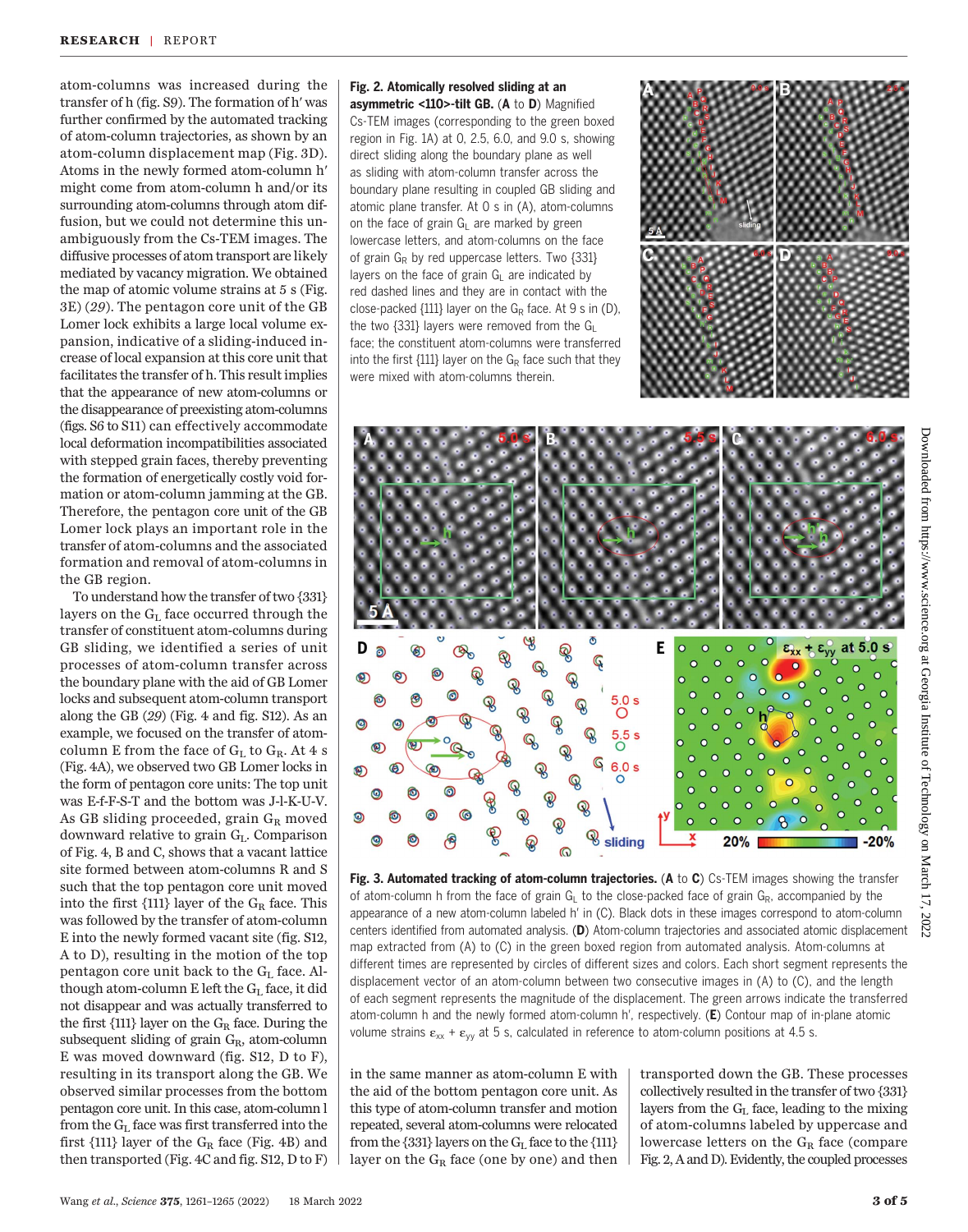atom-columns was increased during the transfer of h (fig. S9). The formation of h′ was further confirmed by the automated tracking of atom-column trajectories, as shown by an atom-column displacement map (Fig. 3D). Atoms in the newly formed atom-column h′ might come from atom-column h and/or its surrounding atom-columns through atom diffusion, but we could not determine this unambiguously from the Cs-TEM images. The diffusive processes of atom transport are likely mediated by vacancy migration. We obtained the map of atomic volume strains at 5 s (Fig. 3E) (29). The pentagon core unit of the GB Lomer lock exhibits a large local volume expansion, indicative of a sliding-induced increase of local expansion at this core unit that facilitates the transfer of h. This result implies that the appearance of new atom-columns or the disappearance of preexisting atom-columns (figs. S6 to S11) can effectively accommodate local deformation incompatibilities associated with stepped grain faces, thereby preventing the formation of energetically costly void formation or atom-column jamming at the GB. Therefore, the pentagon core unit of the GB Lomer lock plays an important role in the transfer of atom-columns and the associated formation and removal of atom-columns in the GB region.

To understand how the transfer of two {331} layers on the GL face occurred through the transfer of constituent atom-columns during GB sliding, we identified a series of unit processes of atom-column transfer across the boundary plane with the aid of GB Lomer locks and subsequent atom-column transport along the GB (29) (Fig. 4 and fig. S12). As an example, we focused on the transfer of atomcolumn E from the face of  $G_L$  to  $G_R$ . At 4 s (Fig. 4A), we observed two GB Lomer locks in the form of pentagon core units: The top unit was E-f-F-S-T and the bottom was J-l-K-U-V. As GB sliding proceeded, grain  $G_R$  moved downward relative to grain  $G<sub>L</sub>$ . Comparison of Fig. 4, B and C, shows that a vacant lattice site formed between atom-columns R and S such that the top pentagon core unit moved into the first  $\{111\}$  layer of the  $G_R$  face. This was followed by the transfer of atom-column E into the newly formed vacant site (fig. S12, A to D), resulting in the motion of the top pentagon core unit back to the  $G<sub>L</sub>$  face. Although atom-column E left the  $G_L$  face, it did not disappear and was actually transferred to the first  $\{111\}$  layer on the  $G_R$  face. During the subsequent sliding of grain GR, atom-column E was moved downward (fig. S12, D to F), resulting in its transport along the GB. We observed similar processes from the bottom pentagon core unit. In this case, atom-column l from the  $G<sub>L</sub>$  face was first transferred into the first  $\{111\}$  layer of the  $G_R$  face (Fig. 4B) and then transported (Fig. 4C and fig. S12, D to F) Fig. 2. Atomically resolved sliding at an asymmetric <110>-tilt GB. (A to D) Magnified Cs-TEM images (corresponding to the green boxed region in Fig. 1A) at 0, 2.5, 6.0, and 9.0 s, showing direct sliding along the boundary plane as well as sliding with atom-column transfer across the boundary plane resulting in coupled GB sliding and atomic plane transfer. At 0 s in (A), atom-columns on the face of grain  $G_L$  are marked by green lowercase letters, and atom-columns on the face of grain  $G_R$  by red uppercase letters. Two  $\{331\}$ layers on the face of grain  $G<sub>L</sub>$  are indicated by red dashed lines and they are in contact with the close-packed  $\{111\}$  layer on the G<sub>R</sub> face. At 9 s in (D), the two {331} layers were removed from the  $G_L$ face; the constituent atom-columns were transferred into the first  $\{111\}$  layer on the  $G_R$  face such that they were mixed with atom-columns therein.





Fig. 3. Automated tracking of atom-column trajectories. (A to C) Cs-TEM images showing the transfer of atom-column h from the face of grain G<sub>L</sub> to the close-packed face of grain G<sub>R</sub>, accompanied by the appearance of a new atom-column labeled h′ in (C). Black dots in these images correspond to atom-column centers identified from automated analysis. (D) Atom-column trajectories and associated atomic displacement map extracted from (A) to (C) in the green boxed region from automated analysis. Atom-columns at different times are represented by circles of different sizes and colors. Each short segment represents the displacement vector of an atom-column between two consecutive images in (A) to (C), and the length of each segment represents the magnitude of the displacement. The green arrows indicate the transferred atom-column h and the newly formed atom-column h', respectively. (E) Contour map of in-plane atomic volume strains  $\varepsilon_{xx} + \varepsilon_{yy}$  at 5 s, calculated in reference to atom-column positions at 4.5 s.

in the same manner as atom-column E with the aid of the bottom pentagon core unit. As this type of atom-column transfer and motion repeated, several atom-columns were relocated from the  $\{331\}$  layers on the  $G<sub>L</sub>$  face to the  $\{111\}$ layer on the  $G_R$  face (one by one) and then transported down the GB. These processes collectively resulted in the transfer of two {331} layers from the  $G<sub>L</sub>$  face, leading to the mixing of atom-columns labeled by uppercase and lowercase letters on the  $G_R$  face (compare Fig. 2, A and D). Evidently, the coupled processes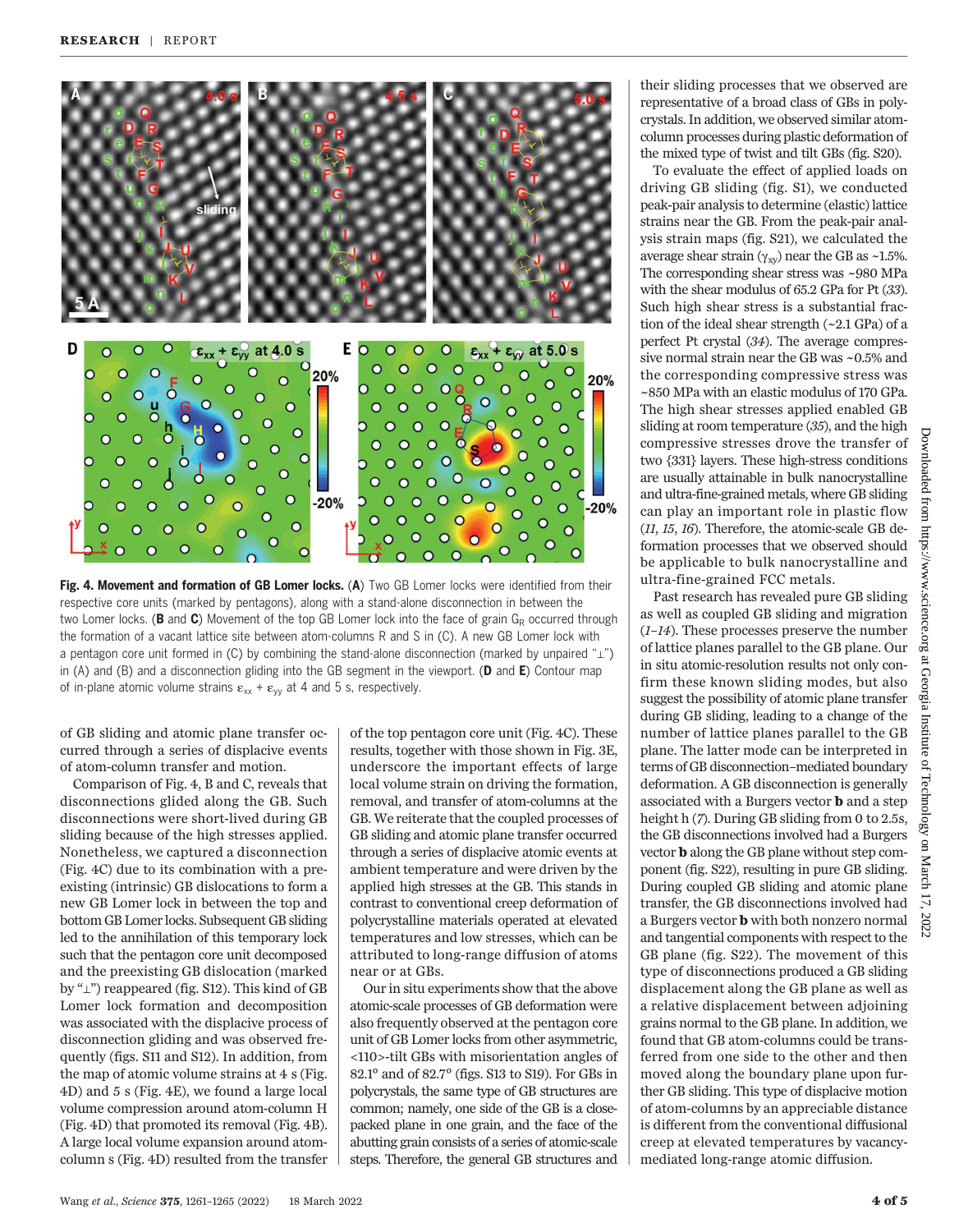

Fig. 4. Movement and formation of GB Lomer locks. (A) Two GB Lomer locks were identified from their respective core units (marked by pentagons), along with a stand-alone disconnection in between the two Lomer locks. (**B** and **C**) Movement of the top GB Lomer lock into the face of grain  $G_R$  occurred through the formation of a vacant lattice site between atom-columns R and S in (C). A new GB Lomer lock with a pentagon core unit formed in (C) by combining the stand-alone disconnection (marked by unpaired "⊥") in (A) and (B) and a disconnection gliding into the GB segment in the viewport. ( $D$  and  $E$ ) Contour map of in-plane atomic volume strains  $\varepsilon_{xx} + \varepsilon_{yy}$  at 4 and 5 s, respectively.

of GB sliding and atomic plane transfer occurred through a series of displacive events of atom-column transfer and motion.

Comparison of Fig. 4, B and C, reveals that disconnections glided along the GB. Such disconnections were short-lived during GB sliding because of the high stresses applied. Nonetheless, we captured a disconnection (Fig. 4C) due to its combination with a preexisting (intrinsic) GB dislocations to form a new GB Lomer lock in between the top and bottom GB Lomer locks. Subsequent GB sliding led to the annihilation of this temporary lock such that the pentagon core unit decomposed and the preexisting GB dislocation (marked by "⊥") reappeared (fig. S12). This kind of GB Lomer lock formation and decomposition was associated with the displacive process of disconnection gliding and was observed frequently (figs. S11 and S12). In addition, from the map of atomic volume strains at 4 s (Fig. 4D) and 5 s (Fig. 4E), we found a large local volume compression around atom-column H (Fig. 4D) that promoted its removal (Fig. 4B). A large local volume expansion around atomcolumn s (Fig. 4D) resulted from the transfer of the top pentagon core unit (Fig. 4C). These results, together with those shown in Fig. 3E, underscore the important effects of large local volume strain on driving the formation, removal, and transfer of atom-columns at the GB. We reiterate that the coupled processes of GB sliding and atomic plane transfer occurred through a series of displacive atomic events at ambient temperature and were driven by the applied high stresses at the GB. This stands in contrast to conventional creep deformation of polycrystalline materials operated at elevated temperatures and low stresses, which can be attributed to long-range diffusion of atoms near or at GBs.

Our in situ experiments show that the above atomic-scale processes of GB deformation were also frequently observed at the pentagon core unit of GB Lomer locks from other asymmetric, <110>-tilt GBs with misorientation angles of 82.1° and of 82.7° (figs. S13 to S19). For GBs in polycrystals, the same type of GB structures are common; namely, one side of the GB is a closepacked plane in one grain, and the face of the abutting grain consists of a series of atomic-scale steps. Therefore, the general GB structures and

their sliding processes that we observed are representative of a broad class of GBs in polycrystals. In addition, we observed similar atomcolumn processes during plastic deformation of the mixed type of twist and tilt GBs (fig. S20).

To evaluate the effect of applied loads on driving GB sliding (fig. S1), we conducted peak-pair analysis to determine (elastic) lattice strains near the GB. From the peak-pair analysis strain maps (fig. S21), we calculated the average shear strain  $(\gamma_{xy})$  near the GB as ~1.5%. The corresponding shear stress was ~980 MPa with the shear modulus of 65.2 GPa for Pt (33). Such high shear stress is a substantial fraction of the ideal shear strength (~2.1 GPa) of a perfect Pt crystal (34). The average compressive normal strain near the GB was ~0.5% and the corresponding compressive stress was ~850 MPa with an elastic modulus of 170 GPa. The high shear stresses applied enabled GB sliding at room temperature (35), and the high compressive stresses drove the transfer of two {331} layers. These high-stress conditions are usually attainable in bulk nanocrystalline and ultra-fine-grained metals, where GB sliding can play an important role in plastic flow (11, 15, 16). Therefore, the atomic-scale GB deformation processes that we observed should be applicable to bulk nanocrystalline and ultra-fine-grained FCC metals.

Past research has revealed pure GB sliding as well as coupled GB sliding and migration (1–14). These processes preserve the number of lattice planes parallel to the GB plane. Our in situ atomic-resolution results not only confirm these known sliding modes, but also suggest the possibility of atomic plane transfer during GB sliding, leading to a change of the number of lattice planes parallel to the GB plane. The latter mode can be interpreted in terms of GB disconnection–mediated boundary deformation. A GB disconnection is generally associated with a Burgers vector b and a step height h (7). During GB sliding from 0 to 2.5s, the GB disconnections involved had a Burgers vector b along the GB plane without step component (fig. S22), resulting in pure GB sliding. During coupled GB sliding and atomic plane transfer, the GB disconnections involved had a Burgers vector b with both nonzero normal and tangential components with respect to the GB plane (fig. S22). The movement of this type of disconnections produced a GB sliding displacement along the GB plane as well as a relative displacement between adjoining grains normal to the GB plane. In addition, we found that GB atom-columns could be transferred from one side to the other and then moved along the boundary plane upon further GB sliding. This type of displacive motion of atom-columns by an appreciable distance is different from the conventional diffusional creep at elevated temperatures by vacancymediated long-range atomic diffusion.